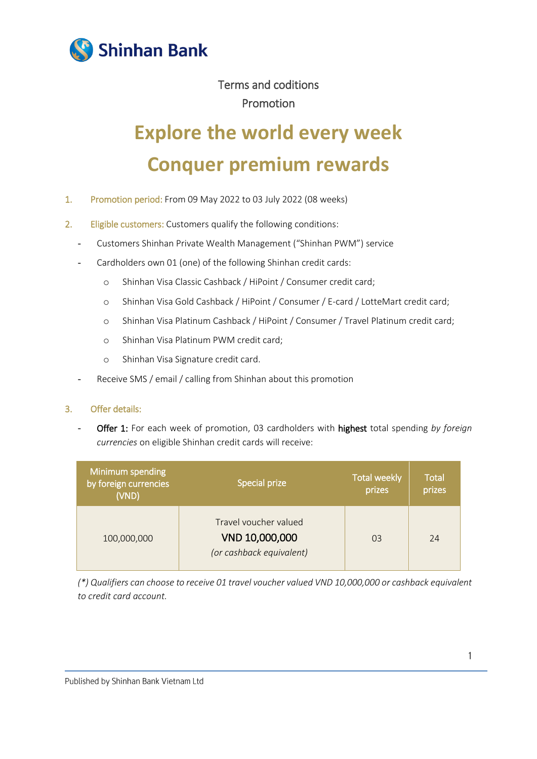

## Terms and coditions Promotion

# **Explore the world every week Conquer premium rewards**

- 1. Promotion period: From 09 May 2022 to 03 July 2022 (08 weeks)
- 2. Eligible customers: Customers qualify the following conditions:
	- Customers Shinhan Private Wealth Management ("Shinhan PWM") service
	- Cardholders own 01 (one) of the following Shinhan credit cards:
		- o Shinhan Visa Classic Cashback / HiPoint / Consumer credit card;
		- o Shinhan Visa Gold Cashback / HiPoint / Consumer / E-card / LotteMart credit card;
		- o Shinhan Visa Platinum Cashback / HiPoint / Consumer / Travel Platinum credit card;
		- o Shinhan Visa Platinum PWM credit card;
		- o Shinhan Visa Signature credit card.
	- Receive SMS / email / calling from Shinhan about this promotion

### 3. Offer details:

Offer 1: For each week of promotion, 03 cardholders with highest total spending by foreign *currencies* on eligible Shinhan credit cards will receive:

| Minimum spending<br>by foreign currencies<br>(VND) | Special prize                                                       | <b>Total weekly</b><br>prizes | Total<br>prizes |
|----------------------------------------------------|---------------------------------------------------------------------|-------------------------------|-----------------|
| 100,000,000                                        | Travel voucher valued<br>VND 10,000,000<br>(or cashback equivalent) | 03                            | 24              |

*(\*) Qualifiers can choose to receive 01 travel voucher valued VND 10,000,000 or cashback equivalent to credit card account.*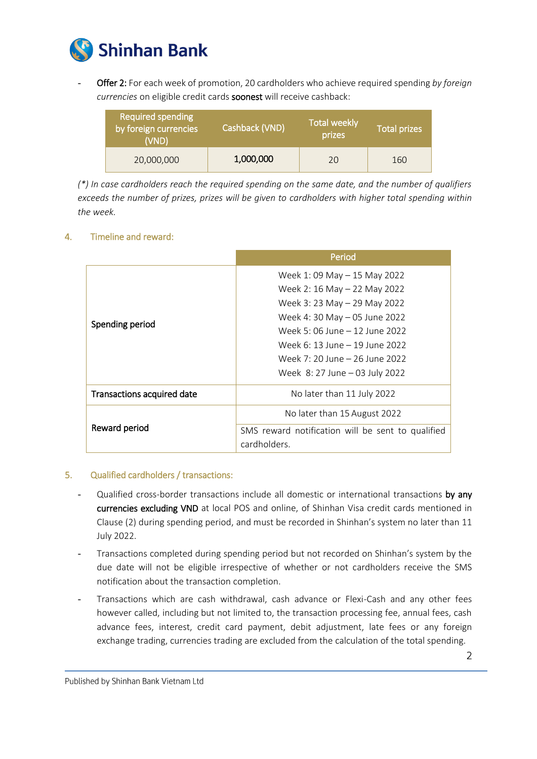

- Offer 2: For each week of promotion, 20 cardholders who achieve required spending *by foreign currencies* on eligible credit cards soonest will receive cashback:

| <b>Required spending</b><br>by foreign currencies<br>(VND) | Cashback (VND) | <b>Total weekly</b><br>prizes | <b>Total prizes</b> |
|------------------------------------------------------------|----------------|-------------------------------|---------------------|
| 20,000,000                                                 | 1,000,000      | 20                            | 160                 |

*(\*) In case cardholders reach the required spending on the same date, and the number of qualifiers exceeds the number of prizes, prizes will be given to cardholders with higher total spending within the week.*

### 4. Timeline and reward:

|                            | Period                                            |  |
|----------------------------|---------------------------------------------------|--|
|                            | Week 1:09 May - 15 May 2022                       |  |
|                            | Week 2: 16 May - 22 May 2022                      |  |
|                            | Week 3: 23 May - 29 May 2022                      |  |
|                            | Week 4: 30 May - 05 June 2022                     |  |
| Spending period            | Week 5: 06 June - 12 June 2022                    |  |
|                            | Week 6: 13 June – 19 June 2022                    |  |
|                            | Week 7: 20 June – 26 June 2022                    |  |
|                            | Week 8: 27 June - 03 July 2022                    |  |
| Transactions acquired date | No later than 11 July 2022                        |  |
|                            | No later than 15 August 2022                      |  |
| Reward period              | SMS reward notification will be sent to qualified |  |
|                            | cardholders.                                      |  |

#### 5. Qualified cardholders / transactions:

- Qualified cross-border transactions include all domestic or international transactions by any currencies excluding VND at local POS and online, of Shinhan Visa credit cards mentioned in Clause (2) during spending period, and must be recorded in Shinhan's system no later than 11 July 2022.
- Transactions completed during spending period but not recorded on Shinhan's system by the due date will not be eligible irrespective of whether or not cardholders receive the SMS notification about the transaction completion.
- Transactions which are cash withdrawal, cash advance or Flexi-Cash and any other fees however called, including but not limited to, the transaction processing fee, annual fees, cash advance fees, interest, credit card payment, debit adjustment, late fees or any foreign exchange trading, currencies trading are excluded from the calculation of the total spending.